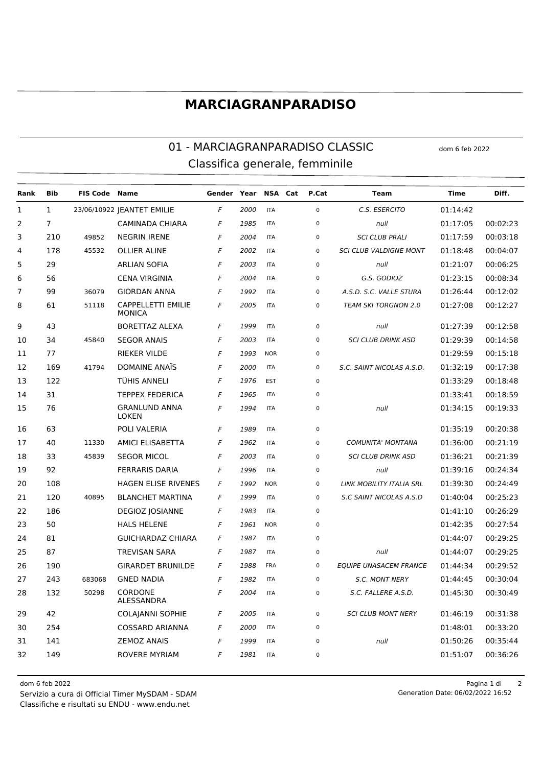## **MARCIAGRANPARADISO**

## 01 - MARCIAGRANPARADISO CLASSIC dom 6 feb 2022 Classifica generale, femminile

| Rank           | <b>Bib</b>     | <b>FIS Code Name</b> |                                            | Gender Year |      | NSA Cat    | P.Cat       | <b>Team</b>                   | Time     | Diff.    |
|----------------|----------------|----------------------|--------------------------------------------|-------------|------|------------|-------------|-------------------------------|----------|----------|
| $\mathbf{1}$   | $\mathbf{1}$   |                      | 23/06/10922   EANTET EMILIE                | F           | 2000 | <b>ITA</b> | $\mathbf 0$ | C.S. ESERCITO                 | 01:14:42 |          |
| 2              | $\overline{7}$ |                      | <b>CAMINADA CHIARA</b>                     | F           | 1985 | <b>ITA</b> | $\mathbf 0$ | null                          | 01:17:05 | 00:02:23 |
| 3              | 210            | 49852                | <b>NEGRIN IRENE</b>                        | F           | 2004 | <b>ITA</b> | $\pmb{0}$   | <b>SCI CLUB PRALI</b>         | 01:17:59 | 00:03:18 |
| 4              | 178            | 45532                | <b>OLLIER ALINE</b>                        | F           | 2002 | <b>ITA</b> | $\mathbf 0$ | <b>SCI CLUB VALDIGNE MONT</b> | 01:18:48 | 00:04:07 |
| 5              | 29             |                      | <b>ARLIAN SOFIA</b>                        | F           | 2003 | <b>ITA</b> | $\mathbf 0$ | null                          | 01:21:07 | 00:06:25 |
| 6              | 56             |                      | <b>CENA VIRGINIA</b>                       | F           | 2004 | <b>ITA</b> | $\mathbf 0$ | G.S. GODIOZ                   | 01:23:15 | 00:08:34 |
| $\overline{7}$ | 99             | 36079                | <b>GIORDAN ANNA</b>                        | F           | 1992 | <b>ITA</b> | 0           | A.S.D. S.C. VALLE STURA       | 01:26:44 | 00:12:02 |
| 8              | 61             | 51118                | <b>CAPPELLETTI EMILIE</b><br><b>MONICA</b> | F           | 2005 | <b>ITA</b> | $\mathbf 0$ | <b>TEAM SKI TORGNON 2.0</b>   | 01:27:08 | 00:12:27 |
| 9              | 43             |                      | <b>BORETTAZ ALEXA</b>                      | F           | 1999 | <b>ITA</b> | $\mathbf 0$ | null                          | 01:27:39 | 00:12:58 |
| 10             | 34             | 45840                | <b>SEGOR ANAIS</b>                         | F           | 2003 | <b>ITA</b> | $\pmb{0}$   | <b>SCI CLUB DRINK ASD</b>     | 01:29:39 | 00:14:58 |
| 11             | 77             |                      | <b>RIEKER VILDE</b>                        | F           | 1993 | <b>NOR</b> | $\mathbf 0$ |                               | 01:29:59 | 00:15:18 |
| 12             | 169            | 41794                | DOMAINE ANAÏS                              | F           | 2000 | <b>ITA</b> | $\mathbf 0$ | S.C. SAINT NICOLAS A.S.D.     | 01:32:19 | 00:17:38 |
| 13             | 122            |                      | TÜHIS ANNELI                               | F           | 1976 | <b>EST</b> | $\mathbf 0$ |                               | 01:33:29 | 00:18:48 |
| 14             | 31             |                      | <b>TEPPEX FEDERICA</b>                     | F           | 1965 | <b>ITA</b> | 0           |                               | 01:33:41 | 00:18:59 |
| 15             | 76             |                      | <b>GRANLUND ANNA</b><br><b>LOKEN</b>       | F           | 1994 | <b>ITA</b> | $\pmb{0}$   | null                          | 01:34:15 | 00:19:33 |
| 16             | 63             |                      | POLI VALERIA                               | F           | 1989 | <b>ITA</b> | $\mathsf 0$ |                               | 01:35:19 | 00:20:38 |
| 17             | 40             | 11330                | <b>AMICI ELISABETTA</b>                    | F           | 1962 | <b>ITA</b> | $\mathsf 0$ | <b>COMUNITA' MONTANA</b>      | 01:36:00 | 00:21:19 |
| 18             | 33             | 45839                | <b>SEGOR MICOL</b>                         | F           | 2003 | <b>ITA</b> | $\mathsf 0$ | <b>SCI CLUB DRINK ASD</b>     | 01:36:21 | 00:21:39 |
| 19             | 92             |                      | <b>FERRARIS DARIA</b>                      | F           | 1996 | <b>ITA</b> | $\mathsf 0$ | null                          | 01:39:16 | 00:24:34 |
| 20             | 108            |                      | <b>HAGEN ELISE RIVENES</b>                 | F           | 1992 | <b>NOR</b> | $\mathsf 0$ | LINK MOBILITY ITALIA SRL      | 01:39:30 | 00:24:49 |
| 21             | 120            | 40895                | <b>BLANCHET MARTINA</b>                    | F           | 1999 | <b>ITA</b> | $\mathbf 0$ | S.C SAINT NICOLAS A.S.D       | 01:40:04 | 00:25:23 |
| 22             | 186            |                      | <b>DEGIOZ JOSIANNE</b>                     | F           | 1983 | <b>ITA</b> | $\mathsf 0$ |                               | 01:41:10 | 00:26:29 |
| 23             | 50             |                      | <b>HALS HELENE</b>                         | F           | 1961 | <b>NOR</b> | $\mathsf 0$ |                               | 01:42:35 | 00:27:54 |
| 24             | 81             |                      | <b>GUICHARDAZ CHIARA</b>                   | F           | 1987 | <b>ITA</b> | $\mathsf 0$ |                               | 01:44:07 | 00:29:25 |
| 25             | 87             |                      | <b>TREVISAN SARA</b>                       | F           | 1987 | <b>ITA</b> | $\mathsf 0$ | null                          | 01:44:07 | 00:29:25 |
| 26             | 190            |                      | <b>GIRARDET BRUNILDE</b>                   | F           | 1988 | <b>FRA</b> | $\mathsf 0$ | <b>EQUIPE UNASACEM FRANCE</b> | 01:44:34 | 00:29:52 |
| 27             | 243            | 683068               | <b>GNED NADIA</b>                          | F           | 1982 | <b>ITA</b> | $\mathsf 0$ | <b>S.C. MONT NERY</b>         | 01:44:45 | 00:30:04 |
| 28             | 132            | 50298                | CORDONE<br>ALESSANDRA                      | F           | 2004 | <b>ITA</b> | $\pmb{0}$   | S.C. FALLERE A.S.D.           | 01:45:30 | 00:30:49 |
| 29             | 42             |                      | <b>COLAJANNI SOPHIE</b>                    | F           | 2005 | <b>ITA</b> | $\pmb{0}$   | <b>SCI CLUB MONT NERY</b>     | 01:46:19 | 00:31:38 |
| 30             | 254            |                      | COSSARD ARIANNA                            | F           | 2000 | <b>ITA</b> | $\pmb{0}$   |                               | 01:48:01 | 00:33:20 |
| 31             | 141            |                      | <b>ZEMOZ ANAIS</b>                         | F           | 1999 | <b>ITA</b> | $\pmb{0}$   | null                          | 01:50:26 | 00:35:44 |
| 32             | 149            |                      | ROVERE MYRIAM                              | F           | 1981 | <b>ITA</b> | $\pmb{0}$   |                               | 01:51:07 | 00:36:26 |

Classifiche e risultati su ENDU - www.endu.net Servizio a cura di Official Timer MySDAM - SDAM 06/02/2022 16:52

dom 6 feb 2022 Pagina 1 di 2 Generation Date: 06/02/2022 16:52